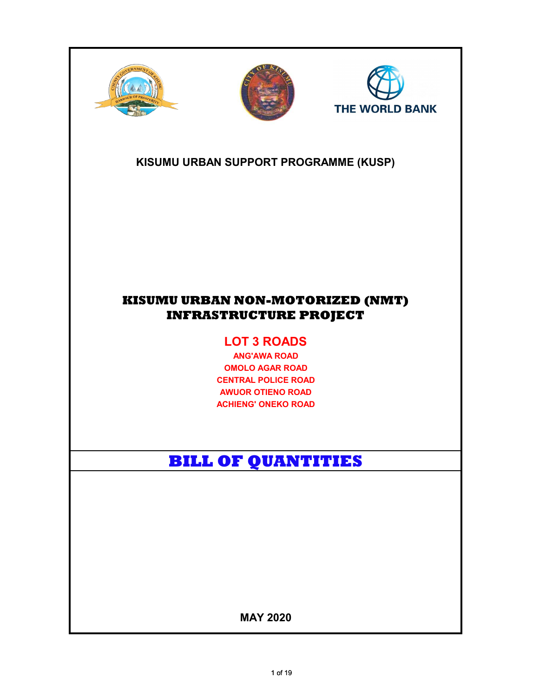





## KISUMU URBAN SUPPORT PROGRAMME (KUSP)

## KISUMU URBAN NON-MOTORIZED (NMT) INFRASTRUCTURE PROJECT

## LOT 3 ROADS

ANG'AWA ROAD OMOLO AGAR ROAD CENTRAL POLICE ROAD AWUOR OTIENO ROAD ACHIENG' ONEKO ROAD

# BILL OF QUANTITIES

MAY 2020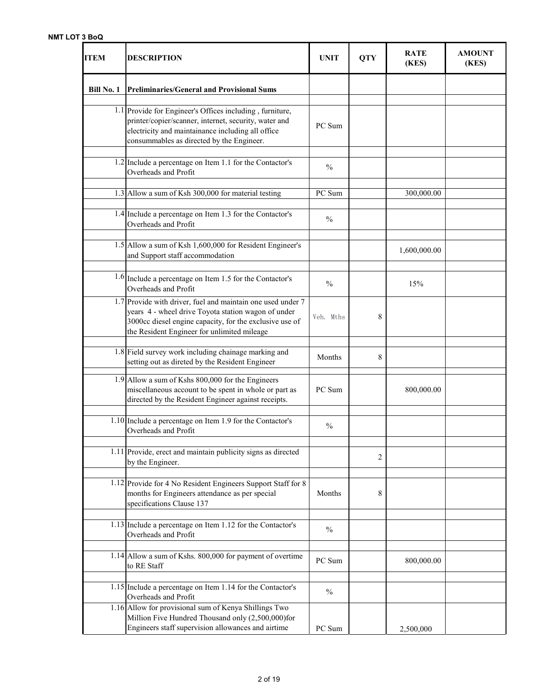#### NMT LOT 3 BoQ

| ITEM              | <b>DESCRIPTION</b>                                                                                                                                                                                                           | <b>UNIT</b>   | <b>QTY</b> | <b>RATE</b><br>(KES) | <b>AMOUNT</b><br>(KES) |
|-------------------|------------------------------------------------------------------------------------------------------------------------------------------------------------------------------------------------------------------------------|---------------|------------|----------------------|------------------------|
| <b>Bill No. 1</b> | <b>Preliminaries/General and Provisional Sums</b>                                                                                                                                                                            |               |            |                      |                        |
|                   | 1.1 Provide for Engineer's Offices including, furniture,<br>printer/copier/scanner, internet, security, water and<br>electricity and maintainance including all office<br>consummables as directed by the Engineer.          | PC Sum        |            |                      |                        |
|                   | $1.2$ Include a percentage on Item 1.1 for the Contactor's<br>Overheads and Profit                                                                                                                                           | $\frac{0}{0}$ |            |                      |                        |
|                   | 1.3 Allow a sum of Ksh 300,000 for material testing                                                                                                                                                                          | PC Sum        |            | 300,000.00           |                        |
|                   | 1.4 Include a percentage on Item 1.3 for the Contactor's<br>Overheads and Profit                                                                                                                                             | $\frac{0}{0}$ |            |                      |                        |
|                   | 1.5 Allow a sum of Ksh 1,600,000 for Resident Engineer's<br>and Support staff accommodation                                                                                                                                  |               |            | 1,600,000.00         |                        |
|                   | $1.6$ Include a percentage on Item 1.5 for the Contactor's<br>Overheads and Profit                                                                                                                                           | $\frac{0}{0}$ |            | 15%                  |                        |
|                   | 1.7 Provide with driver, fuel and maintain one used under 7<br>years 4 - wheel drive Toyota station wagon of under<br>3000cc diesel engine capacity, for the exclusive use of<br>the Resident Engineer for unlimited mileage | Veh. Mths     | 8          |                      |                        |
|                   | 1.8 Field survey work including chainage marking and<br>setting out as direted by the Resident Engineer                                                                                                                      | Months        | 8          |                      |                        |
|                   | 1.9 Allow a sum of Kshs 800,000 for the Engineers<br>miscellaneous account to be spent in whole or part as<br>directed by the Resident Engineer against receipts.                                                            | PC Sum        |            | 800,000.00           |                        |
|                   | 1.10 Include a percentage on Item 1.9 for the Contactor's<br>Overheads and Profit                                                                                                                                            | $\frac{0}{0}$ |            |                      |                        |
|                   | 1.11 Provide, erect and maintain publicity signs as directed<br>by the Engineer.                                                                                                                                             |               | 2          |                      |                        |
|                   | 1.12 Provide for 4 No Resident Engineers Support Staff for 8<br>months for Engineers attendance as per special<br>specifications Clause 137                                                                                  | Months        | 8          |                      |                        |
|                   | $1.13$ Include a percentage on Item 1.12 for the Contactor's<br>Overheads and Profit                                                                                                                                         | $\%$          |            |                      |                        |
|                   | 1.14 Allow a sum of Kshs. 800,000 for payment of overtime<br>to RE Staff                                                                                                                                                     | PC Sum        |            | 800,000.00           |                        |
|                   | 1.15 Include a percentage on Item 1.14 for the Contactor's<br>Overheads and Profit                                                                                                                                           | $\frac{0}{0}$ |            |                      |                        |
|                   | 1.16 Allow for provisional sum of Kenya Shillings Two<br>Million Five Hundred Thousand only (2,500,000)for<br>Engineers staff supervision allowances and airtime                                                             | PC Sum        |            | 2,500,000            |                        |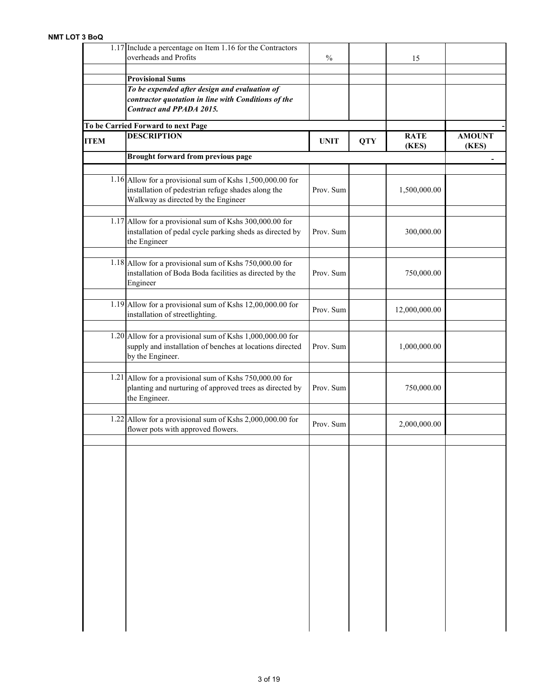|             | $1.17$ Include a percentage on Item 1.16 for the Contractors<br>overheads and Profits                                                         |             |            |                      |                        |
|-------------|-----------------------------------------------------------------------------------------------------------------------------------------------|-------------|------------|----------------------|------------------------|
|             |                                                                                                                                               | $\%$        |            | 15                   |                        |
|             | <b>Provisional Sums</b>                                                                                                                       |             |            |                      |                        |
|             | To be expended after design and evaluation of<br>contractor quotation in line with Conditions of the                                          |             |            |                      |                        |
|             | <b>Contract and PPADA 2015.</b>                                                                                                               |             |            |                      |                        |
|             | To be Carried Forward to next Page                                                                                                            |             |            |                      |                        |
| <b>ITEM</b> | <b>DESCRIPTION</b>                                                                                                                            | <b>UNIT</b> | <b>QTY</b> | <b>RATE</b><br>(KES) | <b>AMOUNT</b><br>(KES) |
|             | Brought forward from previous page                                                                                                            |             |            |                      |                        |
|             | $1.16$ Allow for a provisional sum of Kshs 1,500,000.00 for                                                                                   |             |            |                      |                        |
|             | installation of pedestrian refuge shades along the<br>Walkway as directed by the Engineer                                                     | Prov. Sum   |            | 1,500,000.00         |                        |
|             | $1.17$ Allow for a provisional sum of Kshs 300,000.00 for<br>installation of pedal cycle parking sheds as directed by<br>the Engineer         | Prov. Sum   |            | 300,000.00           |                        |
|             | 1.18 Allow for a provisional sum of Kshs 750,000.00 for<br>installation of Boda Boda facilities as directed by the<br>Engineer                | Prov. Sum   |            | 750,000.00           |                        |
|             | 1.19 Allow for a provisional sum of Kshs $12,00,000.00$ for<br>installation of streetlighting.                                                | Prov. Sum   |            | 12,000,000.00        |                        |
|             | $1.20$ Allow for a provisional sum of Kshs $1,000,000.00$ for<br>supply and installation of benches at locations directed<br>by the Engineer. | Prov. Sum   |            | 1,000,000.00         |                        |
|             | 1.21 Allow for a provisional sum of Kshs $750,000.00$ for<br>planting and nurturing of approved trees as directed by<br>the Engineer.         | Prov. Sum   |            | 750,000.00           |                        |
|             | 1.22 Allow for a provisional sum of Kshs 2,000,000.00 for<br>flower pots with approved flowers.                                               | Prov. Sum   |            | 2,000,000.00         |                        |
|             |                                                                                                                                               |             |            |                      |                        |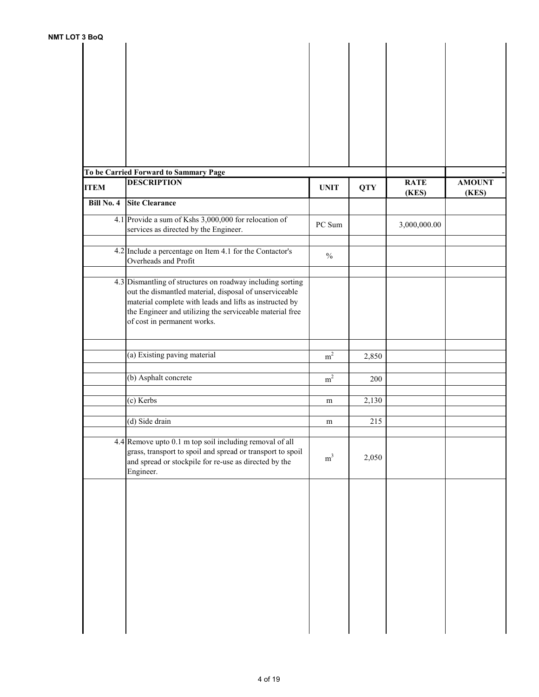|             | To be Carried Forward to Sammary Page                                                                                                                                                                                                                                      |                |            |              |               |
|-------------|----------------------------------------------------------------------------------------------------------------------------------------------------------------------------------------------------------------------------------------------------------------------------|----------------|------------|--------------|---------------|
| <b>ITEM</b> | <b>DESCRIPTION</b>                                                                                                                                                                                                                                                         | <b>UNIT</b>    | <b>QTY</b> | <b>RATE</b>  | <b>AMOUNT</b> |
| Bill No. 4  | <b>Site Clearance</b>                                                                                                                                                                                                                                                      |                |            | (KES)        | (KES)         |
|             | 4.1 Provide a sum of Kshs 3,000,000 for relocation of<br>services as directed by the Engineer.                                                                                                                                                                             | PC Sum         |            | 3,000,000.00 |               |
|             | 4.2 Include a percentage on Item 4.1 for the Contactor's<br>Overheads and Profit                                                                                                                                                                                           | $\%$           |            |              |               |
|             | 4.3 Dismantling of structures on roadway including sorting<br>out the dismantled material, disposal of unserviceable<br>material complete with leads and lifts as instructed by<br>the Engineer and utilizing the serviceable material free<br>of cost in permanent works. |                |            |              |               |
|             | (a) Existing paving material                                                                                                                                                                                                                                               | m <sup>2</sup> | 2,850      |              |               |
|             | (b) Asphalt concrete                                                                                                                                                                                                                                                       | m <sup>2</sup> | 200        |              |               |
|             | (c) Kerbs                                                                                                                                                                                                                                                                  | m              | 2,130      |              |               |
|             | (d) Side drain                                                                                                                                                                                                                                                             | m              | 215        |              |               |
|             | 4.4 Remove upto 0.1 m top soil including removal of all<br>grass, transport to spoil and spread or transport to spoil<br>and spread or stockpile for re-use as directed by the<br>Engineer.                                                                                | $\rm m^3$      | 2,050      |              |               |
|             |                                                                                                                                                                                                                                                                            |                |            |              |               |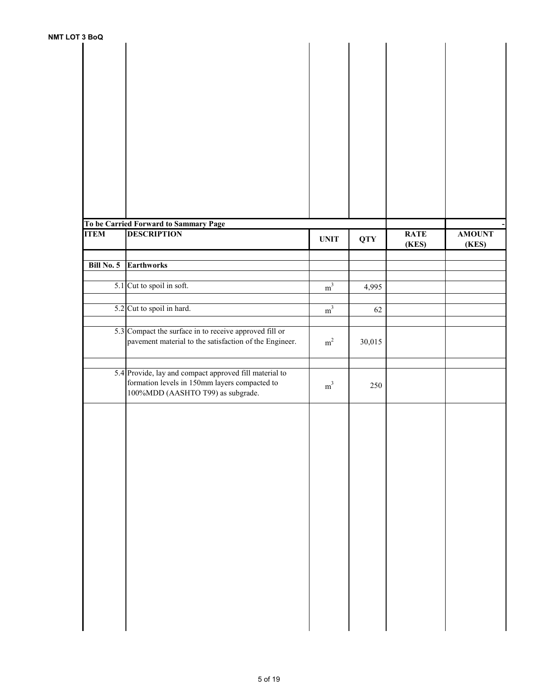| To be Carried Forward to Sammary Page<br><b>DESCRIPTION</b><br><b>RATE</b><br><b>AMOUNT</b><br><b>QTY</b><br><b>UNIT</b><br>(KES)<br>(KES)<br>Bill No. 5<br><b>Earthworks</b><br>5.1 Cut to spoil in soft.<br>$\rm m^3$<br>4,995<br>5.2 Cut to spoil in hard.<br>m <sup>3</sup><br>62<br>5.3 Compact the surface in to receive approved fill or<br>pavement material to the satisfaction of the Engineer.<br>$\rm m^2$<br>30,015<br>5.4 Provide, lay and compact approved fill material to<br>formation levels in 150mm layers compacted to<br>$\rm m^3$<br>250<br>100%MDD (AASHTO T99) as subgrade. | 3 BOQ       |  |  |  |
|------------------------------------------------------------------------------------------------------------------------------------------------------------------------------------------------------------------------------------------------------------------------------------------------------------------------------------------------------------------------------------------------------------------------------------------------------------------------------------------------------------------------------------------------------------------------------------------------------|-------------|--|--|--|
|                                                                                                                                                                                                                                                                                                                                                                                                                                                                                                                                                                                                      |             |  |  |  |
|                                                                                                                                                                                                                                                                                                                                                                                                                                                                                                                                                                                                      |             |  |  |  |
|                                                                                                                                                                                                                                                                                                                                                                                                                                                                                                                                                                                                      |             |  |  |  |
|                                                                                                                                                                                                                                                                                                                                                                                                                                                                                                                                                                                                      |             |  |  |  |
|                                                                                                                                                                                                                                                                                                                                                                                                                                                                                                                                                                                                      |             |  |  |  |
|                                                                                                                                                                                                                                                                                                                                                                                                                                                                                                                                                                                                      |             |  |  |  |
|                                                                                                                                                                                                                                                                                                                                                                                                                                                                                                                                                                                                      |             |  |  |  |
|                                                                                                                                                                                                                                                                                                                                                                                                                                                                                                                                                                                                      |             |  |  |  |
|                                                                                                                                                                                                                                                                                                                                                                                                                                                                                                                                                                                                      |             |  |  |  |
|                                                                                                                                                                                                                                                                                                                                                                                                                                                                                                                                                                                                      |             |  |  |  |
|                                                                                                                                                                                                                                                                                                                                                                                                                                                                                                                                                                                                      |             |  |  |  |
|                                                                                                                                                                                                                                                                                                                                                                                                                                                                                                                                                                                                      |             |  |  |  |
|                                                                                                                                                                                                                                                                                                                                                                                                                                                                                                                                                                                                      |             |  |  |  |
|                                                                                                                                                                                                                                                                                                                                                                                                                                                                                                                                                                                                      |             |  |  |  |
|                                                                                                                                                                                                                                                                                                                                                                                                                                                                                                                                                                                                      |             |  |  |  |
|                                                                                                                                                                                                                                                                                                                                                                                                                                                                                                                                                                                                      |             |  |  |  |
|                                                                                                                                                                                                                                                                                                                                                                                                                                                                                                                                                                                                      |             |  |  |  |
|                                                                                                                                                                                                                                                                                                                                                                                                                                                                                                                                                                                                      |             |  |  |  |
|                                                                                                                                                                                                                                                                                                                                                                                                                                                                                                                                                                                                      | <b>ITEM</b> |  |  |  |
|                                                                                                                                                                                                                                                                                                                                                                                                                                                                                                                                                                                                      |             |  |  |  |
|                                                                                                                                                                                                                                                                                                                                                                                                                                                                                                                                                                                                      |             |  |  |  |
|                                                                                                                                                                                                                                                                                                                                                                                                                                                                                                                                                                                                      |             |  |  |  |
|                                                                                                                                                                                                                                                                                                                                                                                                                                                                                                                                                                                                      |             |  |  |  |
|                                                                                                                                                                                                                                                                                                                                                                                                                                                                                                                                                                                                      |             |  |  |  |
|                                                                                                                                                                                                                                                                                                                                                                                                                                                                                                                                                                                                      |             |  |  |  |
|                                                                                                                                                                                                                                                                                                                                                                                                                                                                                                                                                                                                      |             |  |  |  |
|                                                                                                                                                                                                                                                                                                                                                                                                                                                                                                                                                                                                      |             |  |  |  |
|                                                                                                                                                                                                                                                                                                                                                                                                                                                                                                                                                                                                      |             |  |  |  |
|                                                                                                                                                                                                                                                                                                                                                                                                                                                                                                                                                                                                      |             |  |  |  |
|                                                                                                                                                                                                                                                                                                                                                                                                                                                                                                                                                                                                      |             |  |  |  |
|                                                                                                                                                                                                                                                                                                                                                                                                                                                                                                                                                                                                      |             |  |  |  |
|                                                                                                                                                                                                                                                                                                                                                                                                                                                                                                                                                                                                      |             |  |  |  |
|                                                                                                                                                                                                                                                                                                                                                                                                                                                                                                                                                                                                      |             |  |  |  |
|                                                                                                                                                                                                                                                                                                                                                                                                                                                                                                                                                                                                      |             |  |  |  |
|                                                                                                                                                                                                                                                                                                                                                                                                                                                                                                                                                                                                      |             |  |  |  |
|                                                                                                                                                                                                                                                                                                                                                                                                                                                                                                                                                                                                      |             |  |  |  |
|                                                                                                                                                                                                                                                                                                                                                                                                                                                                                                                                                                                                      |             |  |  |  |
|                                                                                                                                                                                                                                                                                                                                                                                                                                                                                                                                                                                                      |             |  |  |  |
|                                                                                                                                                                                                                                                                                                                                                                                                                                                                                                                                                                                                      |             |  |  |  |
|                                                                                                                                                                                                                                                                                                                                                                                                                                                                                                                                                                                                      |             |  |  |  |
|                                                                                                                                                                                                                                                                                                                                                                                                                                                                                                                                                                                                      |             |  |  |  |
|                                                                                                                                                                                                                                                                                                                                                                                                                                                                                                                                                                                                      |             |  |  |  |
|                                                                                                                                                                                                                                                                                                                                                                                                                                                                                                                                                                                                      |             |  |  |  |
|                                                                                                                                                                                                                                                                                                                                                                                                                                                                                                                                                                                                      |             |  |  |  |
|                                                                                                                                                                                                                                                                                                                                                                                                                                                                                                                                                                                                      |             |  |  |  |
|                                                                                                                                                                                                                                                                                                                                                                                                                                                                                                                                                                                                      |             |  |  |  |
|                                                                                                                                                                                                                                                                                                                                                                                                                                                                                                                                                                                                      |             |  |  |  |
|                                                                                                                                                                                                                                                                                                                                                                                                                                                                                                                                                                                                      |             |  |  |  |
|                                                                                                                                                                                                                                                                                                                                                                                                                                                                                                                                                                                                      |             |  |  |  |
|                                                                                                                                                                                                                                                                                                                                                                                                                                                                                                                                                                                                      |             |  |  |  |
|                                                                                                                                                                                                                                                                                                                                                                                                                                                                                                                                                                                                      |             |  |  |  |
|                                                                                                                                                                                                                                                                                                                                                                                                                                                                                                                                                                                                      |             |  |  |  |
|                                                                                                                                                                                                                                                                                                                                                                                                                                                                                                                                                                                                      |             |  |  |  |
|                                                                                                                                                                                                                                                                                                                                                                                                                                                                                                                                                                                                      |             |  |  |  |
|                                                                                                                                                                                                                                                                                                                                                                                                                                                                                                                                                                                                      |             |  |  |  |
|                                                                                                                                                                                                                                                                                                                                                                                                                                                                                                                                                                                                      |             |  |  |  |
|                                                                                                                                                                                                                                                                                                                                                                                                                                                                                                                                                                                                      |             |  |  |  |
|                                                                                                                                                                                                                                                                                                                                                                                                                                                                                                                                                                                                      |             |  |  |  |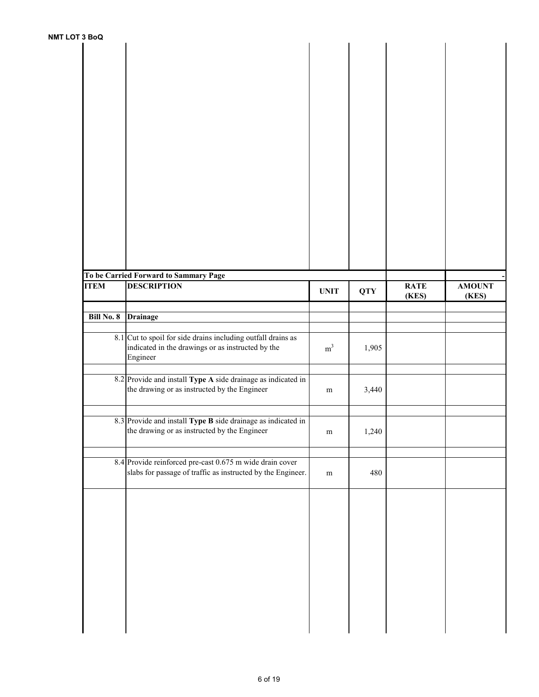|                   | To be Carried Forward to Sammary Page                        |             |            |             |               |
|-------------------|--------------------------------------------------------------|-------------|------------|-------------|---------------|
| <b>ITEM</b>       | <b>DESCRIPTION</b>                                           | <b>UNIT</b> | <b>QTY</b> | <b>RATE</b> | <b>AMOUNT</b> |
|                   |                                                              |             |            | (KES)       | (KES)         |
|                   |                                                              |             |            |             |               |
| <b>Bill No. 8</b> | <b>Drainage</b>                                              |             |            |             |               |
|                   |                                                              |             |            |             |               |
|                   |                                                              |             |            |             |               |
|                   | 8.1 Cut to spoil for side drains including outfall drains as |             |            |             |               |
|                   | indicated in the drawings or as instructed by the            | $\rm m^3$   | 1,905      |             |               |
|                   | Engineer                                                     |             |            |             |               |
|                   |                                                              |             |            |             |               |
|                   | 8.2 Provide and install Type A side drainage as indicated in |             |            |             |               |
|                   |                                                              |             |            |             |               |
|                   |                                                              |             |            |             |               |
|                   | the drawing or as instructed by the Engineer                 | m           | 3,440      |             |               |
|                   |                                                              |             |            |             |               |
|                   |                                                              |             |            |             |               |
|                   | 8.3 Provide and install Type B side drainage as indicated in |             |            |             |               |
|                   | the drawing or as instructed by the Engineer                 | ${\bf m}$   | 1,240      |             |               |
|                   |                                                              |             |            |             |               |
|                   |                                                              |             |            |             |               |
|                   |                                                              |             |            |             |               |
|                   | 8.4 Provide reinforced pre-cast 0.675 m wide drain cover     |             |            |             |               |
|                   | slabs for passage of traffic as instructed by the Engineer.  | ${\bf m}$   | 480        |             |               |
|                   |                                                              |             |            |             |               |
|                   |                                                              |             |            |             |               |
|                   |                                                              |             |            |             |               |
|                   |                                                              |             |            |             |               |
|                   |                                                              |             |            |             |               |
|                   |                                                              |             |            |             |               |
|                   |                                                              |             |            |             |               |
|                   |                                                              |             |            |             |               |
|                   |                                                              |             |            |             |               |
|                   |                                                              |             |            |             |               |
|                   |                                                              |             |            |             |               |
|                   |                                                              |             |            |             |               |
|                   |                                                              |             |            |             |               |
|                   |                                                              |             |            |             |               |
|                   |                                                              |             |            |             |               |
|                   |                                                              |             |            |             |               |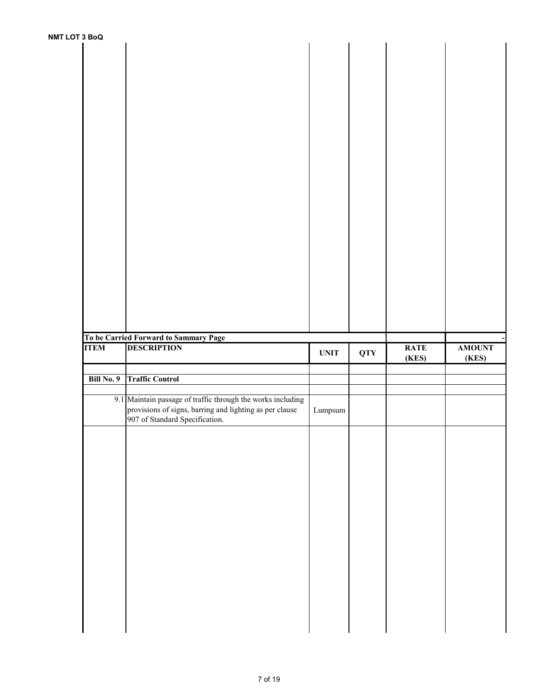| <b>DOU</b>  |                                                             |             |            |             |               |
|-------------|-------------------------------------------------------------|-------------|------------|-------------|---------------|
|             |                                                             |             |            |             |               |
|             |                                                             |             |            |             |               |
|             |                                                             |             |            |             |               |
|             |                                                             |             |            |             |               |
|             |                                                             |             |            |             |               |
|             |                                                             |             |            |             |               |
|             |                                                             |             |            |             |               |
|             |                                                             |             |            |             |               |
|             |                                                             |             |            |             |               |
|             |                                                             |             |            |             |               |
|             |                                                             |             |            |             |               |
|             |                                                             |             |            |             |               |
|             |                                                             |             |            |             |               |
|             |                                                             |             |            |             |               |
|             |                                                             |             |            |             |               |
|             |                                                             |             |            |             |               |
|             |                                                             |             |            |             |               |
|             |                                                             |             |            |             |               |
|             |                                                             |             |            |             |               |
|             |                                                             |             |            |             |               |
|             |                                                             |             |            |             |               |
|             |                                                             |             |            |             |               |
|             |                                                             |             |            |             |               |
|             |                                                             |             |            |             |               |
|             |                                                             |             |            |             |               |
|             |                                                             |             |            |             |               |
|             |                                                             |             |            |             |               |
|             |                                                             |             |            |             |               |
|             |                                                             |             |            |             |               |
|             |                                                             |             |            |             |               |
|             |                                                             |             |            |             |               |
|             |                                                             |             |            |             |               |
|             |                                                             |             |            |             |               |
|             |                                                             |             |            |             |               |
|             |                                                             |             |            |             |               |
|             |                                                             |             |            |             |               |
|             |                                                             |             |            |             |               |
|             |                                                             |             |            |             |               |
|             |                                                             |             |            |             |               |
|             |                                                             |             |            |             |               |
|             |                                                             |             |            |             |               |
|             |                                                             |             |            |             |               |
|             |                                                             |             |            |             |               |
|             | To be Carried Forward to Sammary Page                       |             |            |             |               |
|             |                                                             |             |            |             |               |
| <b>ITEM</b> | <b>DESCRIPTION</b>                                          | <b>UNIT</b> | <b>QTY</b> | <b>RATE</b> | <b>AMOUNT</b> |
|             |                                                             |             |            | (KES)       | (KES)         |
|             |                                                             |             |            |             |               |
|             |                                                             |             |            |             |               |
| Bill No. 9  | <b>Traffic Control</b>                                      |             |            |             |               |
|             |                                                             |             |            |             |               |
|             |                                                             |             |            |             |               |
|             | 9.1 Maintain passage of traffic through the works including |             |            |             |               |
|             | provisions of signs, barring and lighting as per clause     | Lumpsum     |            |             |               |
|             |                                                             |             |            |             |               |
|             | 907 of Standard Specification.                              |             |            |             |               |
|             |                                                             |             |            |             |               |
|             |                                                             |             |            |             |               |
|             |                                                             |             |            |             |               |
|             |                                                             |             |            |             |               |
|             |                                                             |             |            |             |               |
|             |                                                             |             |            |             |               |
|             |                                                             |             |            |             |               |
|             |                                                             |             |            |             |               |
|             |                                                             |             |            |             |               |
|             |                                                             |             |            |             |               |
|             |                                                             |             |            |             |               |
|             |                                                             |             |            |             |               |
|             |                                                             |             |            |             |               |
|             |                                                             |             |            |             |               |
|             |                                                             |             |            |             |               |
|             |                                                             |             |            |             |               |
|             |                                                             |             |            |             |               |
|             |                                                             |             |            |             |               |
|             |                                                             |             |            |             |               |
|             |                                                             |             |            |             |               |
|             |                                                             |             |            |             |               |
|             |                                                             |             |            |             |               |
|             |                                                             |             |            |             |               |
|             |                                                             |             |            |             |               |
|             |                                                             |             |            |             |               |
|             |                                                             |             |            |             |               |
|             |                                                             |             |            |             |               |
|             |                                                             |             |            |             |               |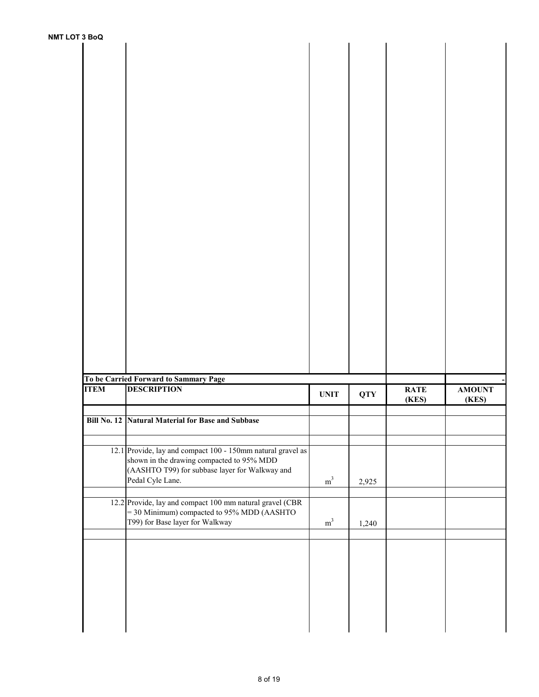| <b>NMT LOT 3 BoQ</b> |             |                                                                                                          |                |            |                      |                        |
|----------------------|-------------|----------------------------------------------------------------------------------------------------------|----------------|------------|----------------------|------------------------|
|                      |             |                                                                                                          |                |            |                      |                        |
|                      |             |                                                                                                          |                |            |                      |                        |
|                      |             |                                                                                                          |                |            |                      |                        |
|                      |             |                                                                                                          |                |            |                      |                        |
|                      |             |                                                                                                          |                |            |                      |                        |
|                      |             |                                                                                                          |                |            |                      |                        |
|                      |             |                                                                                                          |                |            |                      |                        |
|                      |             |                                                                                                          |                |            |                      |                        |
|                      |             |                                                                                                          |                |            |                      |                        |
|                      |             |                                                                                                          |                |            |                      |                        |
|                      |             |                                                                                                          |                |            |                      |                        |
|                      |             |                                                                                                          |                |            |                      |                        |
|                      |             |                                                                                                          |                |            |                      |                        |
|                      |             |                                                                                                          |                |            |                      |                        |
|                      |             |                                                                                                          |                |            |                      |                        |
|                      |             |                                                                                                          |                |            |                      |                        |
|                      |             |                                                                                                          |                |            |                      |                        |
|                      |             |                                                                                                          |                |            |                      |                        |
|                      |             |                                                                                                          |                |            |                      |                        |
|                      |             |                                                                                                          |                |            |                      |                        |
|                      |             |                                                                                                          |                |            |                      |                        |
|                      |             |                                                                                                          |                |            |                      |                        |
|                      |             |                                                                                                          |                |            |                      |                        |
|                      |             |                                                                                                          |                |            |                      |                        |
|                      |             |                                                                                                          |                |            |                      |                        |
|                      |             |                                                                                                          |                |            |                      |                        |
|                      |             |                                                                                                          |                |            |                      |                        |
|                      |             | To be Carried Forward to Sammary Page                                                                    |                |            |                      |                        |
|                      | <b>ITEM</b> | <b>DESCRIPTION</b>                                                                                       | <b>UNIT</b>    | <b>QTY</b> | <b>RATE</b><br>(KES) | <b>AMOUNT</b><br>(KES) |
|                      |             |                                                                                                          |                |            |                      |                        |
|                      |             | Bill No. 12 Natural Material for Base and Subbase                                                        |                |            |                      |                        |
|                      |             |                                                                                                          |                |            |                      |                        |
|                      |             |                                                                                                          |                |            |                      |                        |
|                      |             | 12.1 Provide, lay and compact 100 - 150mm natural gravel as<br>shown in the drawing compacted to 95% MDD |                |            |                      |                        |
|                      |             | (AASHTO T99) for subbase layer for Walkway and                                                           |                |            |                      |                        |
|                      |             | Pedal Cyle Lane.                                                                                         | $\mathrm{m}^3$ | 2,925      |                      |                        |
|                      |             |                                                                                                          |                |            |                      |                        |
|                      |             | 12.2 Provide, lay and compact 100 mm natural gravel (CBR                                                 |                |            |                      |                        |
|                      |             | = 30 Minimum) compacted to 95% MDD (AASHTO<br>T99) for Base layer for Walkway                            | $\rm m^3$      |            |                      |                        |
|                      |             |                                                                                                          |                | 1,240      |                      |                        |
|                      |             |                                                                                                          |                |            |                      |                        |
|                      |             |                                                                                                          |                |            |                      |                        |
|                      |             |                                                                                                          |                |            |                      |                        |
|                      |             |                                                                                                          |                |            |                      |                        |
|                      |             |                                                                                                          |                |            |                      |                        |
|                      |             |                                                                                                          |                |            |                      |                        |
|                      |             |                                                                                                          |                |            |                      |                        |
|                      |             |                                                                                                          |                |            |                      |                        |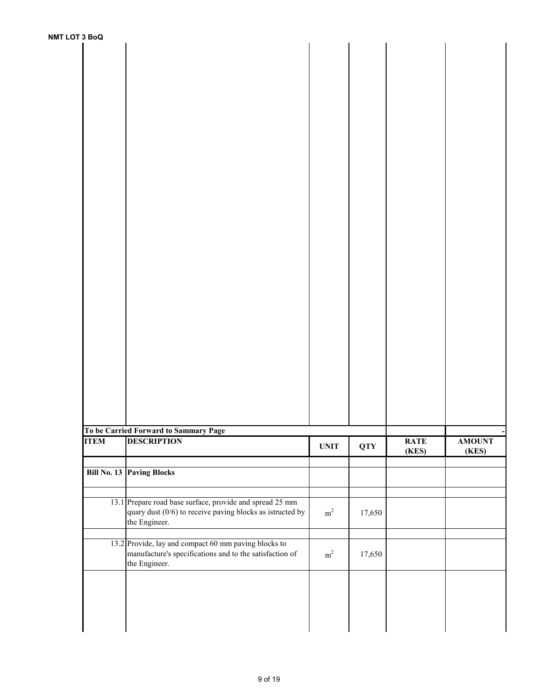| <b>NMT LOT 3 BoQ</b> |                                                                              |             |            |             |               |
|----------------------|------------------------------------------------------------------------------|-------------|------------|-------------|---------------|
|                      |                                                                              |             |            |             |               |
|                      |                                                                              |             |            |             |               |
|                      |                                                                              |             |            |             |               |
|                      |                                                                              |             |            |             |               |
|                      |                                                                              |             |            |             |               |
|                      |                                                                              |             |            |             |               |
|                      |                                                                              |             |            |             |               |
|                      |                                                                              |             |            |             |               |
|                      |                                                                              |             |            |             |               |
|                      |                                                                              |             |            |             |               |
|                      |                                                                              |             |            |             |               |
|                      |                                                                              |             |            |             |               |
|                      |                                                                              |             |            |             |               |
|                      |                                                                              |             |            |             |               |
|                      |                                                                              |             |            |             |               |
|                      |                                                                              |             |            |             |               |
|                      |                                                                              |             |            |             |               |
|                      |                                                                              |             |            |             |               |
|                      |                                                                              |             |            |             |               |
|                      |                                                                              |             |            |             |               |
|                      |                                                                              |             |            |             |               |
|                      |                                                                              |             |            |             |               |
|                      |                                                                              |             |            |             |               |
|                      |                                                                              |             |            |             |               |
|                      |                                                                              |             |            |             |               |
|                      |                                                                              |             |            |             |               |
|                      |                                                                              |             |            |             |               |
|                      |                                                                              |             |            |             |               |
|                      |                                                                              |             |            |             |               |
|                      | To be Carried Forward to Sammary Page                                        |             |            |             |               |
| <b>ITEM</b>          | <b>DESCRIPTION</b>                                                           |             |            | <b>RATE</b> | <b>AMOUNT</b> |
|                      |                                                                              | <b>UNIT</b> | <b>QTY</b> | (KES)       | (KES)         |
|                      | <b>Bill No. 13 Paving Blocks</b>                                             |             |            |             |               |
|                      |                                                                              |             |            |             |               |
|                      |                                                                              |             |            |             |               |
|                      | 13.1 Prepare road base surface, provide and spread 25 mm                     |             |            |             |               |
|                      | quary dust $(0/6)$ to receive paving blocks as istructed by<br>the Engineer. | $\rm m^2$   | 17,650     |             |               |
|                      |                                                                              |             |            |             |               |
|                      | 13.2 Provide, lay and compact 60 mm paving blocks to                         |             |            |             |               |
|                      | manufacture's specifications and to the satisfaction of                      | $\rm m^2$   | 17,650     |             |               |
|                      | the Engineer.                                                                |             |            |             |               |
|                      |                                                                              |             |            |             |               |
|                      |                                                                              |             |            |             |               |
|                      |                                                                              |             |            |             |               |
|                      |                                                                              |             |            |             |               |
|                      |                                                                              |             |            |             |               |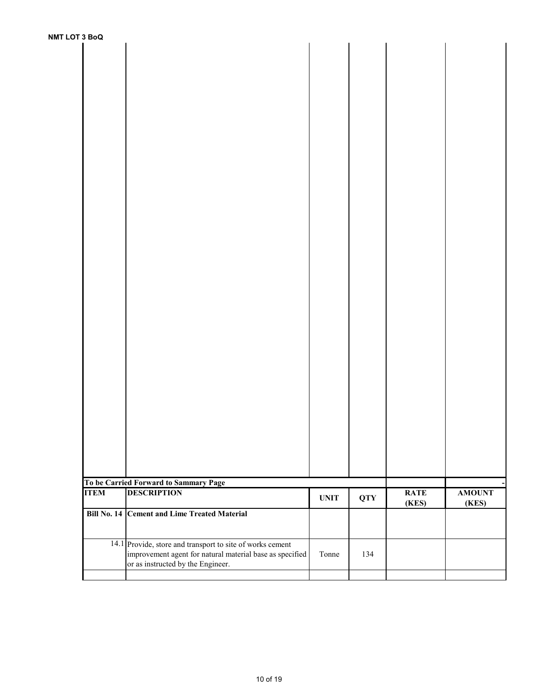| <b>NMT LOT 3 BoQ</b> |                                                                                               |             |            |                      |                        |
|----------------------|-----------------------------------------------------------------------------------------------|-------------|------------|----------------------|------------------------|
|                      |                                                                                               |             |            |                      |                        |
|                      |                                                                                               |             |            |                      |                        |
|                      |                                                                                               |             |            |                      |                        |
|                      |                                                                                               |             |            |                      |                        |
|                      |                                                                                               |             |            |                      |                        |
|                      |                                                                                               |             |            |                      |                        |
|                      |                                                                                               |             |            |                      |                        |
|                      |                                                                                               |             |            |                      |                        |
|                      |                                                                                               |             |            |                      |                        |
|                      |                                                                                               |             |            |                      |                        |
|                      |                                                                                               |             |            |                      |                        |
|                      |                                                                                               |             |            |                      |                        |
|                      |                                                                                               |             |            |                      |                        |
|                      |                                                                                               |             |            |                      |                        |
|                      |                                                                                               |             |            |                      |                        |
|                      |                                                                                               |             |            |                      |                        |
|                      |                                                                                               |             |            |                      |                        |
|                      |                                                                                               |             |            |                      |                        |
|                      |                                                                                               |             |            |                      |                        |
|                      |                                                                                               |             |            |                      |                        |
|                      |                                                                                               |             |            |                      |                        |
|                      |                                                                                               |             |            |                      |                        |
|                      |                                                                                               |             |            |                      |                        |
|                      |                                                                                               |             |            |                      |                        |
|                      |                                                                                               |             |            |                      |                        |
|                      |                                                                                               |             |            |                      |                        |
|                      |                                                                                               |             |            |                      |                        |
|                      |                                                                                               |             |            |                      |                        |
|                      |                                                                                               |             |            |                      |                        |
|                      |                                                                                               |             |            |                      |                        |
|                      |                                                                                               |             |            |                      |                        |
|                      |                                                                                               |             |            |                      |                        |
|                      | To be Carried Forward to Sammary Page                                                         |             |            |                      |                        |
| <b>ITEM</b>          | <b>DESCRIPTION</b>                                                                            | <b>UNIT</b> | <b>QTY</b> | <b>RATE</b><br>(KES) | <b>AMOUNT</b><br>(KES) |
|                      | Bill No. 14 Cement and Lime Treated Material                                                  |             |            |                      |                        |
|                      | 14.1 Provide, store and transport to site of works cement                                     |             |            |                      |                        |
|                      | improvement agent for natural material base as specified<br>or as instructed by the Engineer. | Tonne       | 134        |                      |                        |
|                      |                                                                                               |             |            |                      |                        |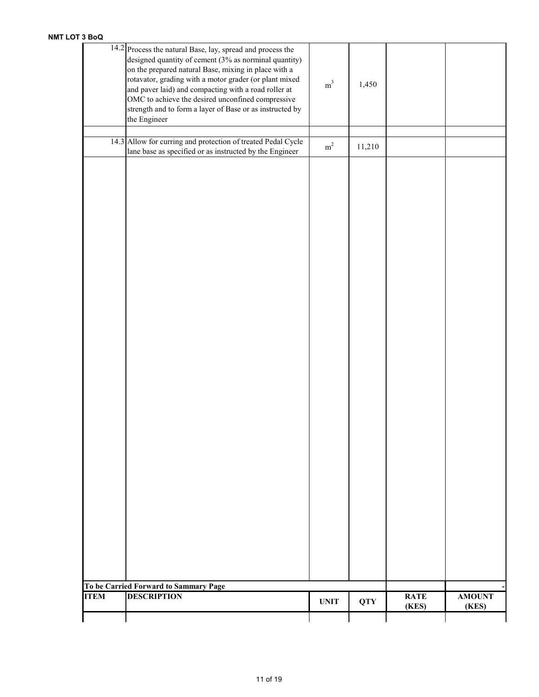|             |                                                                                                                | <b>UNIT</b> | <b>QTY</b> | (KES)       | (KES)         |
|-------------|----------------------------------------------------------------------------------------------------------------|-------------|------------|-------------|---------------|
| <b>ITEM</b> | <b>DESCRIPTION</b>                                                                                             |             |            | <b>RATE</b> | <b>AMOUNT</b> |
|             | To be Carried Forward to Sammary Page                                                                          |             |            |             |               |
|             |                                                                                                                |             |            |             |               |
|             |                                                                                                                |             |            |             |               |
|             |                                                                                                                |             |            |             |               |
|             |                                                                                                                |             |            |             |               |
|             |                                                                                                                |             |            |             |               |
|             |                                                                                                                |             |            |             |               |
|             |                                                                                                                |             |            |             |               |
|             |                                                                                                                |             |            |             |               |
|             |                                                                                                                |             |            |             |               |
|             |                                                                                                                |             |            |             |               |
|             |                                                                                                                |             |            |             |               |
|             |                                                                                                                |             |            |             |               |
|             |                                                                                                                |             |            |             |               |
|             |                                                                                                                |             |            |             |               |
|             |                                                                                                                |             |            |             |               |
|             |                                                                                                                |             |            |             |               |
|             |                                                                                                                |             |            |             |               |
|             |                                                                                                                |             |            |             |               |
|             |                                                                                                                |             |            |             |               |
|             |                                                                                                                |             |            |             |               |
|             |                                                                                                                |             |            |             |               |
|             |                                                                                                                |             |            |             |               |
|             |                                                                                                                |             |            |             |               |
|             |                                                                                                                |             |            |             |               |
|             |                                                                                                                |             |            |             |               |
|             |                                                                                                                |             |            |             |               |
|             |                                                                                                                |             |            |             |               |
|             |                                                                                                                |             |            |             |               |
|             |                                                                                                                |             |            |             |               |
|             |                                                                                                                |             |            |             |               |
|             | lane base as specified or as instructed by the Engineer                                                        |             |            |             |               |
|             | 14.3 Allow for curring and protection of treated Pedal Cycle                                                   | $\rm m^2$   | 11,210     |             |               |
|             |                                                                                                                |             |            |             |               |
|             | strength and to form a layer of Base or as instructed by<br>the Engineer                                       |             |            |             |               |
|             | OMC to achieve the desired unconfined compressive                                                              |             |            |             |               |
|             | rotavator, grading with a motor grader (or plant mixed<br>and paver laid) and compacting with a road roller at | $\rm m^3$   | 1,450      |             |               |
|             | on the prepared natural Base, mixing in place with a                                                           |             |            |             |               |
|             | designed quantity of cement (3% as norminal quantity)                                                          |             |            |             |               |
|             | 14.2 Process the natural Base, lay, spread and process the                                                     |             |            |             |               |
|             |                                                                                                                |             |            |             |               |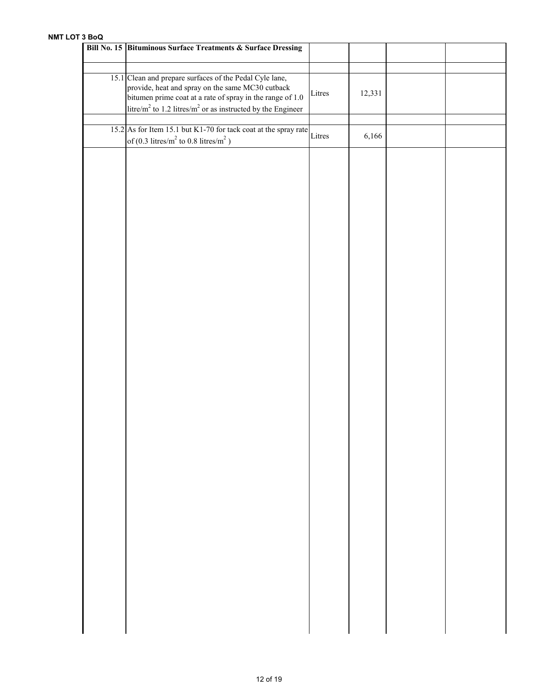### NMT LOT 3 BoQ

| Bill No. 15 Bituminous Surface Treatments & Surface Dressing                                                                                                                                                                                                   |        |        |  |
|----------------------------------------------------------------------------------------------------------------------------------------------------------------------------------------------------------------------------------------------------------------|--------|--------|--|
| 15.1 Clean and prepare surfaces of the Pedal Cyle lane,<br>provide, heat and spray on the same MC30 cutback<br>bitumen prime coat at a rate of spray in the range of 1.0<br>litre/m <sup>2</sup> to 1.2 litres/m <sup>2</sup> or as instructed by the Engineer | Litres | 12,331 |  |
| 15.2 As for Item 15.1 but K1-70 for tack coat at the spray rate<br>of (0.3 litres/ $m^2$ to 0.8 litres/ $m^2$ )                                                                                                                                                | Litres | 6,166  |  |
|                                                                                                                                                                                                                                                                |        |        |  |
|                                                                                                                                                                                                                                                                |        |        |  |
|                                                                                                                                                                                                                                                                |        |        |  |
|                                                                                                                                                                                                                                                                |        |        |  |
|                                                                                                                                                                                                                                                                |        |        |  |
|                                                                                                                                                                                                                                                                |        |        |  |
|                                                                                                                                                                                                                                                                |        |        |  |
|                                                                                                                                                                                                                                                                |        |        |  |
|                                                                                                                                                                                                                                                                |        |        |  |
|                                                                                                                                                                                                                                                                |        |        |  |
|                                                                                                                                                                                                                                                                |        |        |  |
|                                                                                                                                                                                                                                                                |        |        |  |
|                                                                                                                                                                                                                                                                |        |        |  |
|                                                                                                                                                                                                                                                                |        |        |  |
|                                                                                                                                                                                                                                                                |        |        |  |
|                                                                                                                                                                                                                                                                |        |        |  |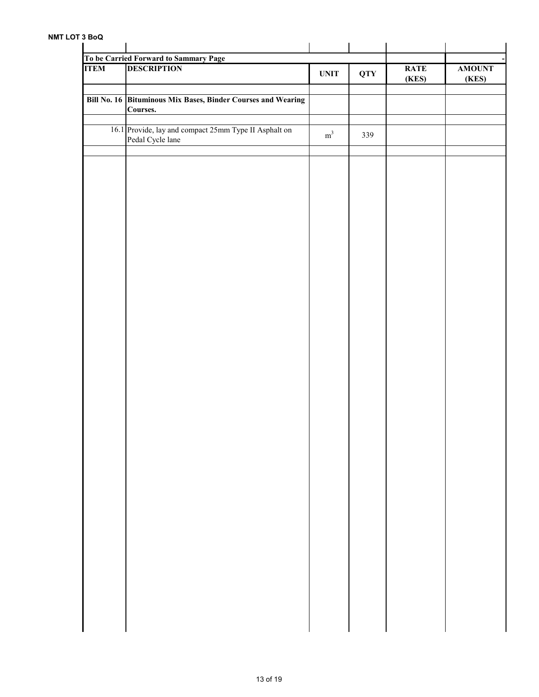### NMT LOT 3 BoQ

| <b>ITEM</b> | To be Carried Forward to Sammary Page<br><b>DESCRIPTION</b>               | $\ensuremath{\mathbf{UNIT}}$ | <b>QTY</b> | <b>RATE</b><br>(KES) | <b>AMOUNT</b><br>(KES) |
|-------------|---------------------------------------------------------------------------|------------------------------|------------|----------------------|------------------------|
|             | Bill No. 16 Bituminous Mix Bases, Binder Courses and Wearing<br>Courses.  |                              |            |                      |                        |
|             | 16.1 Provide, lay and compact 25mm Type II Asphalt on<br>Pedal Cycle lane | $\mathrm{m}^3$               | 339        |                      |                        |
|             |                                                                           |                              |            |                      |                        |
|             |                                                                           |                              |            |                      |                        |
|             |                                                                           |                              |            |                      |                        |
|             |                                                                           |                              |            |                      |                        |
|             |                                                                           |                              |            |                      |                        |
|             |                                                                           |                              |            |                      |                        |
|             |                                                                           |                              |            |                      |                        |
|             |                                                                           |                              |            |                      |                        |
|             |                                                                           |                              |            |                      |                        |
|             |                                                                           |                              |            |                      |                        |
|             |                                                                           |                              |            |                      |                        |
|             |                                                                           |                              |            |                      |                        |
|             |                                                                           |                              |            |                      |                        |
|             |                                                                           |                              |            |                      |                        |
|             |                                                                           |                              |            |                      |                        |
|             |                                                                           |                              |            |                      |                        |
|             |                                                                           |                              |            |                      |                        |
|             |                                                                           |                              |            |                      |                        |
|             |                                                                           |                              |            |                      |                        |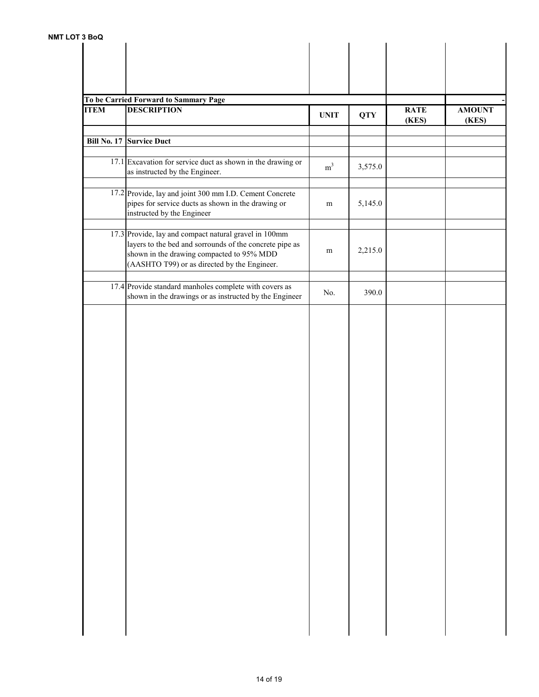| <b>ITEM</b> | To be Carried Forward to Sammary Page<br><b>DESCRIPTION</b>                                                                                                                                                   |                |            |                      |                        |
|-------------|---------------------------------------------------------------------------------------------------------------------------------------------------------------------------------------------------------------|----------------|------------|----------------------|------------------------|
|             |                                                                                                                                                                                                               | <b>UNIT</b>    | <b>QTY</b> | <b>RATE</b><br>(KES) | <b>AMOUNT</b><br>(KES) |
|             | <b>Bill No. 17 Survice Duct</b>                                                                                                                                                                               |                |            |                      |                        |
|             | 17.1 Excavation for service duct as shown in the drawing or<br>as instructed by the Engineer.                                                                                                                 | m <sup>3</sup> | 3,575.0    |                      |                        |
|             | 17.2 Provide, lay and joint 300 mm I.D. Cement Concrete<br>pipes for service ducts as shown in the drawing or<br>instructed by the Engineer                                                                   | m              | 5,145.0    |                      |                        |
|             | 17.3 Provide, lay and compact natural gravel in 100mm<br>layers to the bed and sorrounds of the concrete pipe as<br>shown in the drawing compacted to 95% MDD<br>(AASHTO T99) or as directed by the Engineer. | m              | 2,215.0    |                      |                        |
|             | 17.4 Provide standard manholes complete with covers as<br>shown in the drawings or as instructed by the Engineer                                                                                              | No.            | 390.0      |                      |                        |
|             |                                                                                                                                                                                                               |                |            |                      |                        |
|             |                                                                                                                                                                                                               |                |            |                      |                        |
|             |                                                                                                                                                                                                               |                |            |                      |                        |
|             |                                                                                                                                                                                                               |                |            |                      |                        |
|             |                                                                                                                                                                                                               |                |            |                      |                        |
|             |                                                                                                                                                                                                               |                |            |                      |                        |
|             |                                                                                                                                                                                                               |                |            |                      |                        |
|             |                                                                                                                                                                                                               |                |            |                      |                        |
|             |                                                                                                                                                                                                               |                |            |                      |                        |
|             |                                                                                                                                                                                                               |                |            |                      |                        |
|             |                                                                                                                                                                                                               |                |            |                      |                        |
|             |                                                                                                                                                                                                               |                |            |                      |                        |
|             |                                                                                                                                                                                                               |                |            |                      |                        |
|             |                                                                                                                                                                                                               |                |            |                      |                        |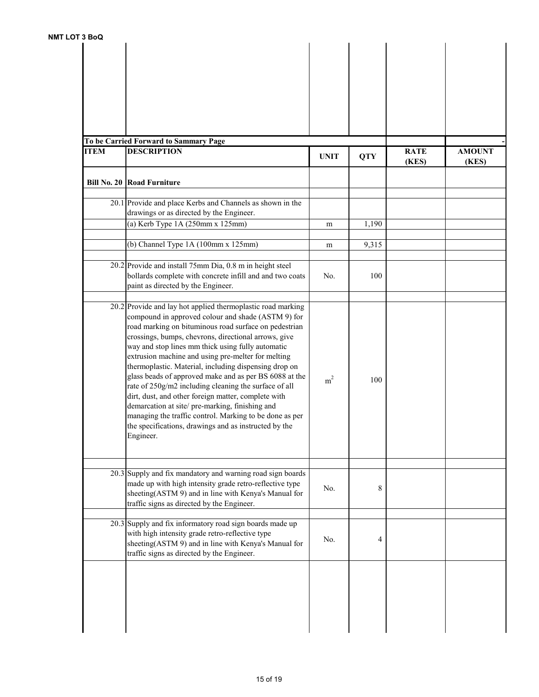| 3 BOQ       |                                                                                                                                                                                                                                                                                                                                                                                                                                                                                                                                                                                                                                                                                                                                                                     |                |            |                      |                        |
|-------------|---------------------------------------------------------------------------------------------------------------------------------------------------------------------------------------------------------------------------------------------------------------------------------------------------------------------------------------------------------------------------------------------------------------------------------------------------------------------------------------------------------------------------------------------------------------------------------------------------------------------------------------------------------------------------------------------------------------------------------------------------------------------|----------------|------------|----------------------|------------------------|
|             | To be Carried Forward to Sammary Page                                                                                                                                                                                                                                                                                                                                                                                                                                                                                                                                                                                                                                                                                                                               |                |            |                      |                        |
| <b>ITEM</b> | <b>DESCRIPTION</b>                                                                                                                                                                                                                                                                                                                                                                                                                                                                                                                                                                                                                                                                                                                                                  | <b>UNIT</b>    | <b>QTY</b> | <b>RATE</b><br>(KES) | <b>AMOUNT</b><br>(KES) |
|             | <b>Bill No. 20 Road Furniture</b>                                                                                                                                                                                                                                                                                                                                                                                                                                                                                                                                                                                                                                                                                                                                   |                |            |                      |                        |
|             | 20.1 Provide and place Kerbs and Channels as shown in the<br>drawings or as directed by the Engineer.                                                                                                                                                                                                                                                                                                                                                                                                                                                                                                                                                                                                                                                               |                |            |                      |                        |
|             | (a) Kerb Type 1A (250mm x 125mm)                                                                                                                                                                                                                                                                                                                                                                                                                                                                                                                                                                                                                                                                                                                                    | m              | 1,190      |                      |                        |
|             | (b) Channel Type 1A (100mm x 125mm)                                                                                                                                                                                                                                                                                                                                                                                                                                                                                                                                                                                                                                                                                                                                 | m              | 9,315      |                      |                        |
|             | 20.2 Provide and install 75mm Dia, 0.8 m in height steel<br>bollards complete with concrete infill and and two coats<br>paint as directed by the Engineer.                                                                                                                                                                                                                                                                                                                                                                                                                                                                                                                                                                                                          | No.            | 100        |                      |                        |
|             | 20.2 Provide and lay hot applied thermoplastic road marking<br>compound in approved colour and shade (ASTM 9) for<br>road marking on bituminous road surface on pedestrian<br>crossings, bumps, chevrons, directional arrows, give<br>way and stop lines mm thick using fully automatic<br>extrusion machine and using pre-melter for melting<br>thermoplastic. Material, including dispensing drop on<br>glass beads of approved make and as per BS 6088 at the<br>rate of 250g/m2 including cleaning the surface of all<br>dirt, dust, and other foreign matter, complete with<br>demarcation at site/pre-marking, finishing and<br>managing the traffic control. Marking to be done as per<br>the specifications, drawings and as instructed by the<br>Engineer. | m <sup>2</sup> | 100        |                      |                        |
|             | 20.3 Supply and fix mandatory and warning road sign boards<br>made up with high intensity grade retro-reflective type<br>sheeting(ASTM 9) and in line with Kenya's Manual for<br>traffic signs as directed by the Engineer.                                                                                                                                                                                                                                                                                                                                                                                                                                                                                                                                         | No.            | 8          |                      |                        |
|             | 20.3 Supply and fix informatory road sign boards made up<br>with high intensity grade retro-reflective type<br>sheeting(ASTM 9) and in line with Kenya's Manual for<br>traffic signs as directed by the Engineer.                                                                                                                                                                                                                                                                                                                                                                                                                                                                                                                                                   | No.            | 4          |                      |                        |
|             |                                                                                                                                                                                                                                                                                                                                                                                                                                                                                                                                                                                                                                                                                                                                                                     |                |            |                      |                        |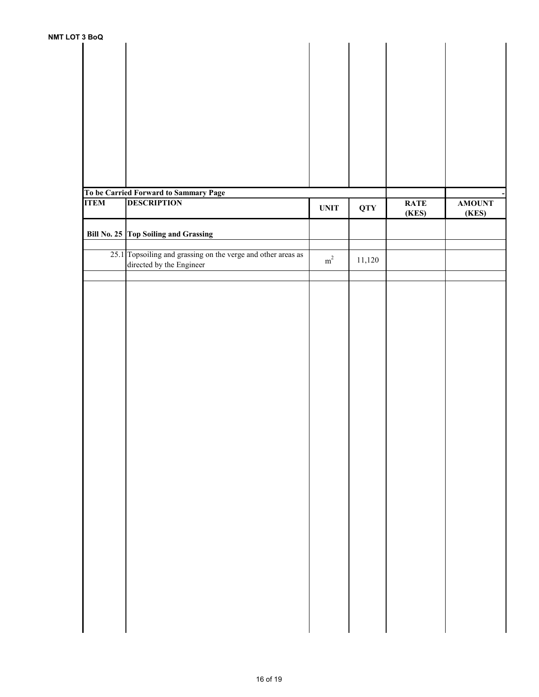| 3 BOQ                                 |                                                              |                              |            |             |               |
|---------------------------------------|--------------------------------------------------------------|------------------------------|------------|-------------|---------------|
|                                       |                                                              |                              |            |             |               |
|                                       |                                                              |                              |            |             |               |
|                                       |                                                              |                              |            |             |               |
|                                       |                                                              |                              |            |             |               |
|                                       |                                                              |                              |            |             |               |
|                                       |                                                              |                              |            |             |               |
|                                       |                                                              |                              |            |             |               |
|                                       |                                                              |                              |            |             |               |
|                                       |                                                              |                              |            |             |               |
|                                       |                                                              |                              |            |             |               |
|                                       |                                                              |                              |            |             |               |
|                                       |                                                              |                              |            |             |               |
|                                       |                                                              |                              |            |             |               |
|                                       |                                                              |                              |            |             |               |
|                                       |                                                              |                              |            |             |               |
|                                       |                                                              |                              |            |             |               |
|                                       |                                                              |                              |            |             |               |
| To be Carried Forward to Sammary Page |                                                              |                              |            |             |               |
| <b>ITEM</b>                           | <b>DESCRIPTION</b>                                           | $\ensuremath{\mathbf{UNIT}}$ | <b>QTY</b> | <b>RATE</b> | <b>AMOUNT</b> |
|                                       |                                                              |                              |            | (KES)       | (KES)         |
|                                       |                                                              |                              |            |             |               |
|                                       | Bill No. 25 Top Soiling and Grassing                         |                              |            |             |               |
|                                       |                                                              |                              |            |             |               |
|                                       |                                                              |                              |            |             |               |
|                                       | 25.1 Topsoiling and grassing on the verge and other areas as | $\rm m^2$                    | 11,120     |             |               |
|                                       | directed by the Engineer                                     |                              |            |             |               |
|                                       |                                                              |                              |            |             |               |
|                                       |                                                              |                              |            |             |               |
|                                       |                                                              |                              |            |             |               |
|                                       |                                                              |                              |            |             |               |
|                                       |                                                              |                              |            |             |               |
|                                       |                                                              |                              |            |             |               |
|                                       |                                                              |                              |            |             |               |
|                                       |                                                              |                              |            |             |               |
|                                       |                                                              |                              |            |             |               |
|                                       |                                                              |                              |            |             |               |
|                                       |                                                              |                              |            |             |               |
|                                       |                                                              |                              |            |             |               |
|                                       |                                                              |                              |            |             |               |
|                                       |                                                              |                              |            |             |               |
|                                       |                                                              |                              |            |             |               |
|                                       |                                                              |                              |            |             |               |
|                                       |                                                              |                              |            |             |               |
|                                       |                                                              |                              |            |             |               |
|                                       |                                                              |                              |            |             |               |
|                                       |                                                              |                              |            |             |               |
|                                       |                                                              |                              |            |             |               |
|                                       |                                                              |                              |            |             |               |
|                                       |                                                              |                              |            |             |               |
|                                       |                                                              |                              |            |             |               |
|                                       |                                                              |                              |            |             |               |
|                                       |                                                              |                              |            |             |               |
|                                       |                                                              |                              |            |             |               |
|                                       |                                                              |                              |            |             |               |
|                                       |                                                              |                              |            |             |               |
|                                       |                                                              |                              |            |             |               |
|                                       |                                                              |                              |            |             |               |
|                                       |                                                              |                              |            |             |               |
|                                       |                                                              |                              |            |             |               |
|                                       |                                                              |                              |            |             |               |
|                                       |                                                              |                              |            |             |               |
|                                       |                                                              |                              |            |             |               |
|                                       |                                                              |                              |            |             |               |
|                                       |                                                              |                              |            |             |               |
|                                       |                                                              |                              |            |             |               |
|                                       |                                                              |                              |            |             |               |
|                                       |                                                              |                              |            |             |               |
|                                       |                                                              |                              |            |             |               |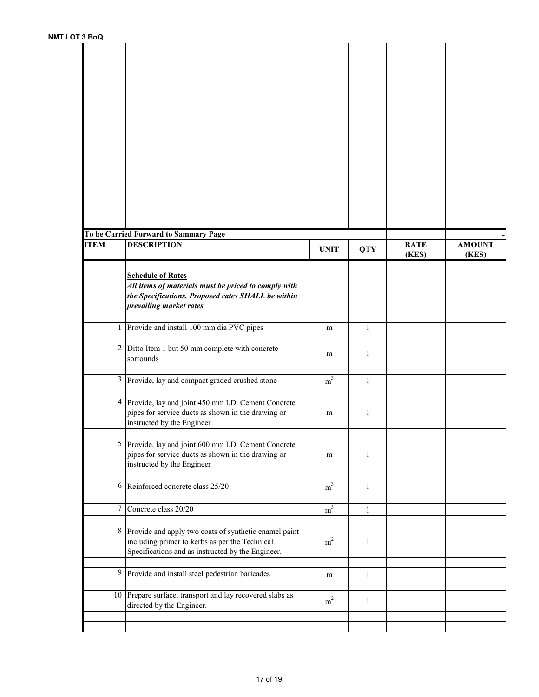|             | To be Carried Forward to Sammary Page                                                                                                                             |                |              |                      |                        |
|-------------|-------------------------------------------------------------------------------------------------------------------------------------------------------------------|----------------|--------------|----------------------|------------------------|
| <b>ITEM</b> | <b>DESCRIPTION</b>                                                                                                                                                | <b>UNIT</b>    | <b>QTY</b>   | <b>RATE</b><br>(KES) | <b>AMOUNT</b><br>(KES) |
|             | <b>Schedule of Rates</b><br>All items of materials must be priced to comply with<br>the Specifications. Proposed rates SHALL be within<br>prevailing market rates |                |              |                      |                        |
|             | 1 Provide and install 100 mm dia PVC pipes                                                                                                                        | m              | $\mathbf{1}$ |                      |                        |
|             | 2 Ditto Item 1 but 50 mm complete with concrete<br>sorrounds                                                                                                      | m              | $\mathbf{1}$ |                      |                        |
|             | 3 Provide, lay and compact graded crushed stone                                                                                                                   | m <sup>3</sup> | $\mathbf{1}$ |                      |                        |
|             | 4 Provide, lay and joint 450 mm I.D. Cement Concrete<br>pipes for service ducts as shown in the drawing or<br>instructed by the Engineer                          | m              | $\mathbf{1}$ |                      |                        |
|             | 5 Provide, lay and joint 600 mm I.D. Cement Concrete<br>pipes for service ducts as shown in the drawing or<br>instructed by the Engineer                          | m              | $\mathbf{1}$ |                      |                        |
|             | 6 Reinforced concrete class 25/20                                                                                                                                 | m <sup>3</sup> | $\mathbf{1}$ |                      |                        |
|             | 7 Concrete class 20/20                                                                                                                                            | $\rm m^3$      | $\mathbf{1}$ |                      |                        |
|             | 8 Provide and apply two coats of synthetic enamel paint<br>including primer to kerbs as per the Technical<br>Specifications and as instructed by the Engineer.    | m <sup>2</sup> | $\mathbf{1}$ |                      |                        |
|             | 9 Provide and install steel pedestrian baricades                                                                                                                  | m              | $\mathbf{1}$ |                      |                        |
|             | 10 Prepare surface, transport and lay recovered slabs as<br>directed by the Engineer.                                                                             | m <sup>2</sup> | $\mathbf{1}$ |                      |                        |
|             |                                                                                                                                                                   |                |              |                      |                        |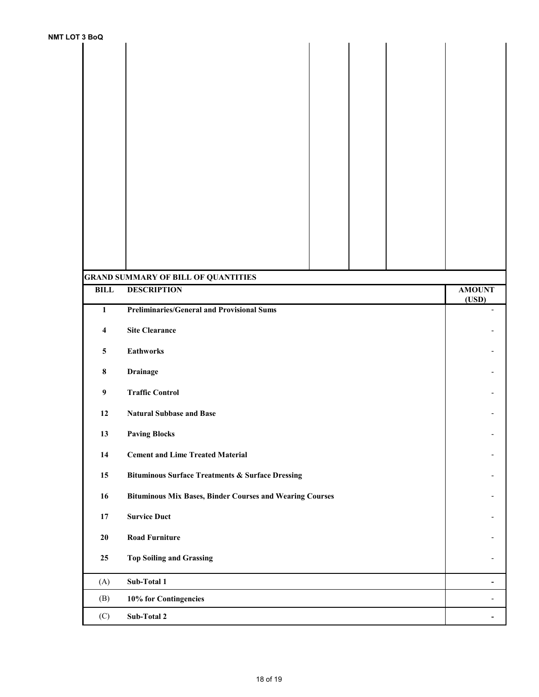|                  | <b>GRAND SUMMARY OF BILL OF QUANTITIES</b>                      |                          |  |  |  |
|------------------|-----------------------------------------------------------------|--------------------------|--|--|--|
| <b>BILL</b>      | <b>DESCRIPTION</b>                                              |                          |  |  |  |
| $\mathbf{1}$     | <b>Preliminaries/General and Provisional Sums</b>               |                          |  |  |  |
| $\boldsymbol{4}$ | <b>Site Clearance</b>                                           |                          |  |  |  |
| $\sqrt{5}$       | <b>Eathworks</b>                                                |                          |  |  |  |
| $\bf 8$          | <b>Drainage</b>                                                 |                          |  |  |  |
| $\boldsymbol{9}$ | <b>Traffic Control</b>                                          |                          |  |  |  |
| 12               | <b>Natural Subbase and Base</b>                                 |                          |  |  |  |
| 13               | <b>Paving Blocks</b>                                            |                          |  |  |  |
| 14               | <b>Cement and Lime Treated Material</b>                         |                          |  |  |  |
| 15               | <b>Bituminous Surface Treatments &amp; Surface Dressing</b>     |                          |  |  |  |
| 16               | <b>Bituminous Mix Bases, Binder Courses and Wearing Courses</b> |                          |  |  |  |
| $17\,$           | <b>Survice Duct</b>                                             |                          |  |  |  |
|                  |                                                                 |                          |  |  |  |
| ${\bf 20}$       | <b>Road Furniture</b>                                           |                          |  |  |  |
| 25               | <b>Top Soiling and Grassing</b>                                 |                          |  |  |  |
| (A)              | Sub-Total 1                                                     | $\blacksquare$           |  |  |  |
| (B)              | 10% for Contingencies                                           | $\overline{\phantom{a}}$ |  |  |  |